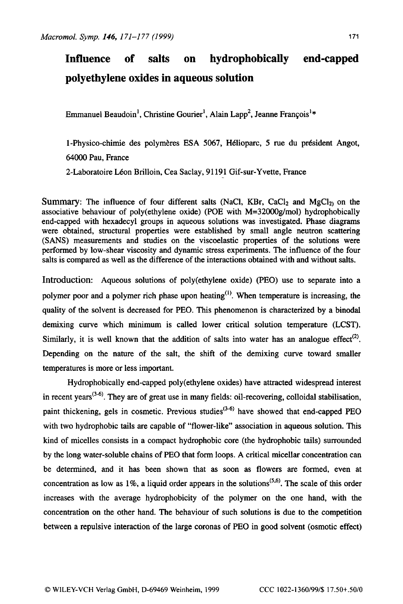## **Influence of salts on hydrophobically end-capped polyethylene oxides in aqueous solution**

Emmanuel Beaudoin<sup>1</sup>, Christine Gourier<sup>1</sup>, Alain Lapp<sup>2</sup>, Jeanne François<sup>1\*</sup>

1-Physico-chimie des polymères ESA 5067, Hélioparc, 5 rue du président Angot, 64000 Pau, France

2-Laboratoire Léon Brilloin, Cea Saclay, 91191 Gif-sur-Yvette, France

Summary: The influence of four different salts (NaCl, KBr, CaCl<sub>2</sub> and MgCl<sub>2)</sub> on the associative behaviour of poly(ethylene oxide) (POE with M=32000g/mol) hydrophobically end-capped with hexadecyl groups in aqueous solutions was investigated. Phase diagrams were obtained, structural properties were established by small angle neutron scattering (SANS) measurements and studies on the viscoelastic properties of the solutions were performed by low-shear viscosity and dynamic stress experiments. The influence of the four salts is compared as well as the difference of the interactions obtained with and without salts.

Introduction: Aqueous solutions of poly(ethylene oxide) (PEO) use to separate into a polymer poor and a polymer rich phase upon heating<sup>(1)</sup>. When temperature is increasing, the quality of the solvent is decreased for PEO. This phenomenon is characterized by a binodal demixing curve which minimum is called lower critical solution temperature (LCST). Similarly, it is well known that the addition of salts into water has an analogue effect<sup>(2)</sup>. Depending on the nature of the salt, the shift of the demixing curve toward smaller temperatures is more or less important.

Hydrophobically end-capped poly(ethylene oxides) have attracted widespread interest in recent vears<sup> $(3-6)$ </sup>. They are of great use in many fields: oil-recovering, colloidal stabilisation, paint thickening, gels in cosmetic. Previous studies<sup>(3-6)</sup> have showed that end-capped PEO with two hydrophobic tails are capable of "flower-like" association in aqueous solution. This kind of micelles consists in a compact hydrophobic core (the hydrophobic tails) surrounded by the long water-soluble chains of PEO that form loops. A critical micellar concentration can be determined, and it has been shown that as soon as flowers are formed, even at concentration as low as 1%, a liquid order appears in the solutions<sup> $(5.6)$ </sup>. The scale of this order increases with the average hydrophobicity of the polymer on the one hand, with the concentration on the other hand. The behaviour of such solutions is due to the competition between a repulsive interaction of the large coronas of PEO in good solvent (osmotic effect)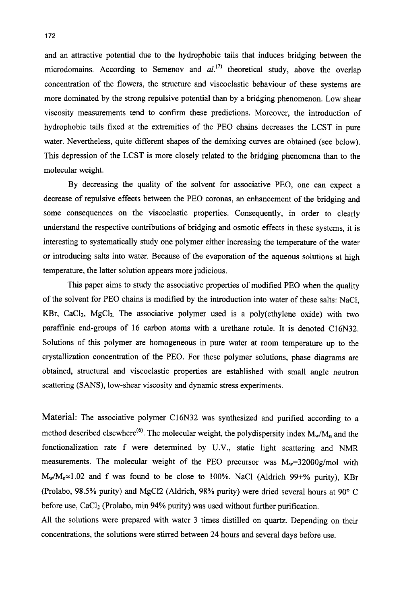and an attractive potential due to the hydrophobic tails that induces bridging between the microdomains. According to Semenov and  $al^{(7)}$  theoretical study, above the overlap concentration of the flowers, the structure and viscoelastic behaviour of these systems are more dominated by the strong repulsive potential than by a bridging phenomenon. Low shear viscosity measurements tend to confirm these predictions. Moreover, the introduction of hydrophobic tails fixed at the extremities of the PEO chains decreases the LCST in pure water. Nevertheless, quite different shapes of the demixing curves are obtained (see below). This depression of the LCST is more closely related to the bridging phenomena than to the molecular weight.

By decreasing the quality of the solvent for associative PEO, one can expect a decrease of repulsive effects between the PEO coronas, an enhancement of the bridging and some consequences on the viscoelastic properties. Consequently, in order to clearly understand the respective contributions of bridging and osmotic effects in these systems, it is interesting to systematically study one polymer either increasing the temperature of the water or introducing salts into water. Because of the evaporation of the aqueous solutions at high temperature, the latter solution appears more judicious.

This paper aims to study the associative properties of modified PEO when the quality of the solvent for PEO chains is modified by the introduction into water of these salts: NaCI, KBr, CaCl<sub>2</sub>, MgCl<sub>2</sub>. The associative polymer used is a poly(ethylene oxide) with two paraffinic end-groups of 16 carbon atoms with a urethane rotule. It is denoted C16N32. Solutions of this polymer are homogeneous in pure water at room temperature up to the crystallization concentration of the PEO. For these polymer solutions, phase diagrams are obtained, structural and viscoelastic properties are established with small angle neutron scattering **(SANS),** low-shear viscosity and dynamic stress experiments.

Material: The associative polymer C16N32 was synthesized and purified according to a method described elsewhere<sup>(6)</sup>. The molecular weight, the polydispersity index  $M_w/M_n$  and the fonctionalization rate f were determined by U.V., static light scattering and NMR measurements. The molecular weight of the PEO precursor was  $M_w=32000g/mol$  with Mw/M,=1.02 and f was found to be close to 100%. NaCl (Aldrich *99+%* purity), KBr (Prolabo, **98.5%** purity) and MgC12 (Aldrich, **98%** purity) were dried several hours at **90"** C before use, CaClz (Prolabo, min **94%** purity) was used without further purification.

**All** the solutions were prepared with water 3 times distilled on quartz. Depending on their concentrations, the solutions were stirred between **24** hours and several days before use.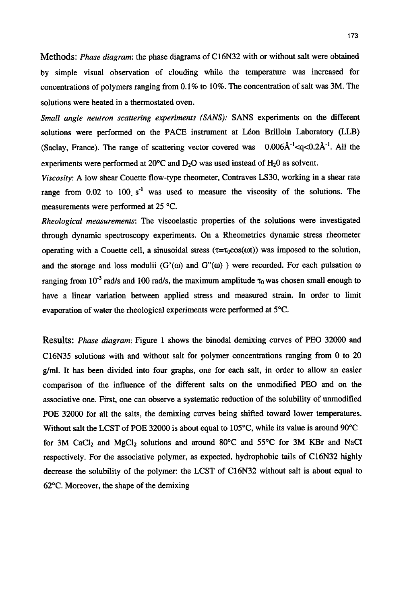Methods: *Phase diagram:* the phase diagrams of C16N32 with or without salt were obtained by simple visual observation of clouding while the temperature was increased for concentrations of polymers ranging from 0.1% to 10%. The concentration of salt was 3M. The solutions were heated in a thermostated oven.

*Small angle neutron scattering experiments (SANS):* SANS experiments on the different solutions were performed on the PACE instrument at Léon Brilloin Laboratory (LLB) (Saclay, France). The range of scattering vector covered was  $0.006\text{\AA}^{-1}$  <  $q$  <  $0.2\text{\AA}^{-1}$ . All the experiments were performed at  $20^{\circ}$ C and  $D_2$ O was used instead of  $H_2$ O as solvent.

*Viscosity:* A low shear Couette flow-type rheometer, Contraves LS30, working in a shear rate range from  $0.02$  to  $100\ \text{s}^{-1}$  was used to measure the viscosity of the solutions. The measurements were performed at 25 "C.

*Rheological measurements:* The viscoelastic properties of the solutions were investigated through dynamic spectroscopy experiments. On a Rheometrics dynamic stress rheometer operating with a Couette cell, a sinusoidal stress  $(\tau = \tau_0 \cos(\omega t))$  was imposed to the solution, and the storage and loss modulii  $(G'(\omega))$  and  $G''(\omega)$  ) were recorded. For each pulsation  $\omega$ ranging from 10<sup>-3</sup> rad/s and 100 rad/s, the maximum amplitude  $\tau_0$  was chosen small enough to have a linear variation between applied stress and measured strain. In order to limit evaporation of water the rheological experiments were performed at 5°C.

Results: *Phase diagram:* Figure 1 shows the binodal demixing curves of PEO 32000 and C16N35 solutions with and without salt for polymer concentrations ranging from 0 to 20 **g/d.** It has been divided into four graphs, one for each salt, in order to allow an easier comparison of the influence of the different salts on the unmodified PEO and on the associative one. First, one can observe a systematic reduction of the solubility of unmodified POE 32000 for all the salts, the demixing curves being shifted toward lower temperatures. Without salt the LCST of POE 32000 is about equal to 105°C, while its value is around 90°C for 3M CaCl<sub>2</sub> and MgCl<sub>2</sub> solutions and around 80 $^{\circ}$ C and 55 $^{\circ}$ C for 3M KBr and NaCl respectively. For the associative polymer, as expected, hydrophobic tails of C16N32 highly decrease the solubility of the polymer: the LCST of C16N32 without salt is about equal to 62°C. Moreover, the shape of the demixing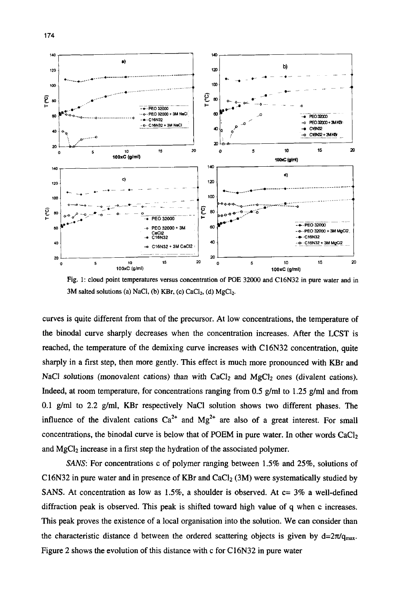

**Fig. 1: cloud point temperatures versus concentration of POE 32000 and C16N32 in pure water and in**  3M salted solutions (a) NaCl, (b) KBr, (c) CaCl<sub>2</sub>, (d) MgCl<sub>2</sub>.

curves is quite different from that of the precursor. At low concentrations, the temperature of the binodal curve sharply decreases when the concentration increases. After the LCST is reached, the temperature of the demixing curve increases with C16N32 concentration, quite sharply in a first step, then more gently. This effect is much more pronounced with **KBr** and NaCl solutions (monovalent cations) than with  $CaCl<sub>2</sub>$  and  $MgCl<sub>2</sub>$  ones (divalent cations). Indeed, at room temperature, for concentrations ranging from 0.5 g/ml to 1.25 g/ml and from 0.1 **g/mI** to 2.2 g/ml, **KBr** respectively NaCl solution shows two different phases. The influence of the divalent cations  $Ca^{2+}$  and  $Mg^{2+}$  are also of a great interest. For small concentrations, the binodal curve is below that of POEM in pure water. In other words CaCIz and MgCl<sub>2</sub> increase in a first step the hydration of the associated polymer.

*SANS*: For concentrations c of polymer ranging between 1.5% and 25%, solutions of C16N32 in pure water and in presence of KBr and CaCl<sub>2</sub> (3M) were systematically studied by SANS. At concentration as low as **1.5%,** a shoulder is observed. At **c=** 3% a well-defined diffraction peak is observed. This peak is shifted toward high value of q when c increases. This peak proves the existence of a local organisation into the solution. We can consider than the characteristic distance d between the ordered scattering objects is given by  $d=2\pi/q_{max}$ . Figure 2 shows the evolution of this distance with c for C16N32 in pure water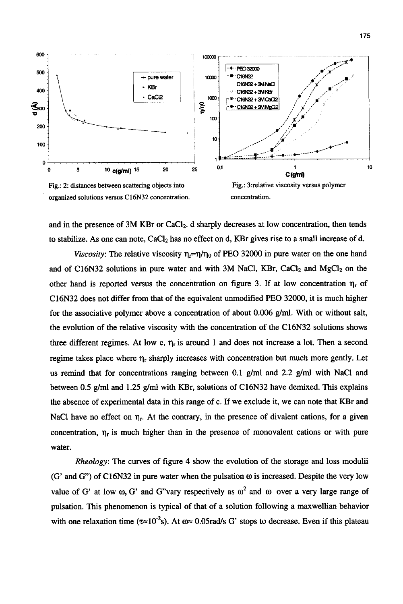

and in the presence of 3M KBr or CaC12. d sharply decreases at low concentration, then tends to stabilize. As one can note, CaC12 has no effect on d, KBr gives rise to a small increase of d.

*Viscosity*: The relative viscosity  $\eta_r = \eta/\eta_0$  of PEO 32000 in pure water on the one hand and of C16N32 solutions in pure water and with 3M NaCl, KBr, CaCl<sub>2</sub> and MgCl<sub>2</sub> on the other hand is reported versus the concentration on figure 3. If at low concentration  $\eta_r$  of C16N32 does not differ from that of the equivalent unmodified PEO 32000, it is much higher for the associative polymer above a concentration of about 0.006 g/ml. With or without salt, the evolution of the relative viscosity with the concentration of the C16N32 solutions shows three different regimes. At low c,  $\eta_r$  is around 1 and does not increase a lot. Then a second regime takes place where  $\eta_r$  sharply increases with concentration but much more gently. Let us remind that for concentrations ranging between 0.1 g/ml and 2.2 g/ml with NaCl and between 0.5 g/ml and 1.25 g/ml with KBr, solutions of C16N32 have demixed. This explains the absence of experimental data in this range of c. If we exclude it, we can note that KBr and NaCl have no effect on  $\eta_r$ . At the contrary, in the presence of divalent cations, for a given concentration,  $\eta_r$  is much higher than in the presence of monovalent cations or with pure water.

*Rheology:* The curves of figure **4** show the evolution of the storage and loss modulii (G' and G') of C16N32 in pure water when the pulsation *o* is increased. Despite the very low value of G' at low  $\omega$ , G' and G"vary respectively as  $\omega^2$  and  $\omega$  over a very large range of pulsation. This phenomenon is typical of that of a solution following a maxwellian behavior with one relaxation time ( $\tau \approx 10^{-2}s$ ). At  $\omega \approx 0.05$  rad/s G' stops to decrease. Even if this plateau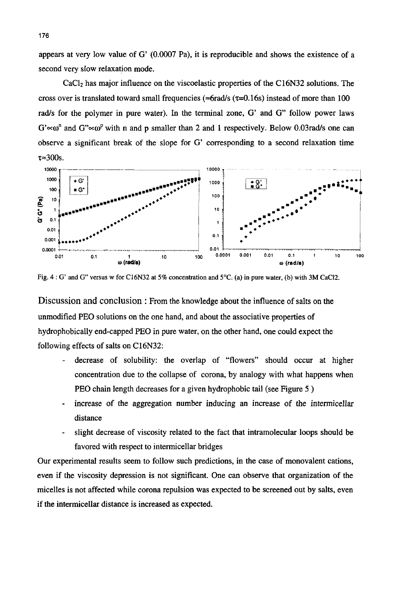appears at very low value of  $G'$  (0.0007 Pa), it is reproducible and shows the existence of a second very slow relaxation mode.

CaCl<sub>2</sub> has major influence on the viscoelastic properties of the C16N32 solutions. The cross over is translated toward small frequencies ( $\approx$ 6rad/s ( $\tau$ =0.16s) instead of more than 100 rad/s for the polymer in pure water). In the terminal zone, *G'* and *G*" follow power laws  $G' \propto \omega^n$  and  $G'' \sim \omega^p$  with n and p smaller than 2 and 1 respectively. Below 0.03 rad/s one can observe a significant break of the slope for G' corresponding to a second relaxation time  $\tau \approx 300$ s.



**Fig. 4** : *G'* **and G" versus w for C16N32 at 5% concentration and 5°C. (a) in pure water, (b) with 3M CaC12.** 

Discussion and conclusion : From the knowledge about the influence of salts on the unmodified PEO solutions on the one hand, and about the associative properties of hydrophobically end-capped PEO in pure water, on the other hand, one could expect the following effects of salts on C16N32:

- decrease of solubility: the overlap of "flowers" should occur at higher concentration due to the collapse of corona, by analogy with what happens when PEO chain length decreases for a given hydrophobic tail (see Figure 5 )
- increase of the aggregation number inducing an increase of the intermicellar distance -
- slight decrease of viscosity related to the fact that intramolecular loops should be favored with respect to intermicellar bridges -

Our experimental results seem to follow such predictions, in the case of monovalent cations, even if the viscosity depression is not significant. One can observe that organization of the micelles is not affected while corona repulsion was expected to be screened out by salts, even if the intermicellar distance is increased as expected.